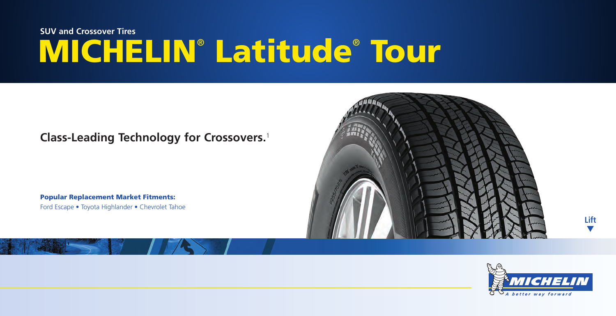# **MICHELIN**®  **Latitude**®  **Tour SUV and Crossover Tires**

### **Class-Leading Technology for Crossovers.**<sup>1</sup>

**Popular Replacement Market Fitments:** Ford Escape • Toyota Highlander • Chevrolet Tahoe





**Lift** ▼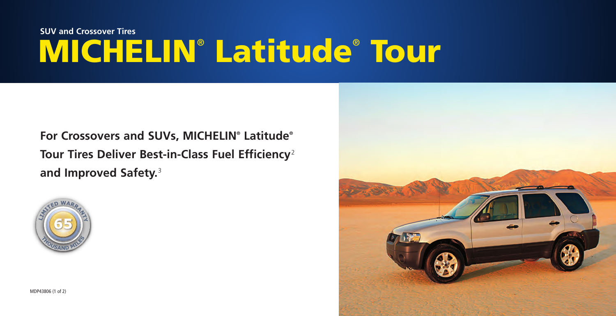# **MICHELIN**®  **Latitude**®  **Tour SUV and Crossover Tires**

**For Crossovers and SUVs, MICHELIN® Latitude® Tour Tires Deliver Best-in-Class Fuel Efficiency**<sup>2</sup> **and Improved Safety.**<sup>3</sup>



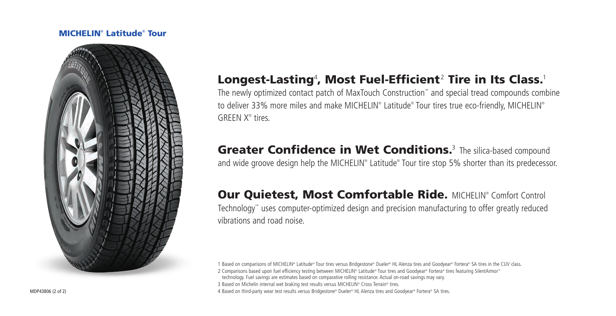#### **MICHELIN**®  **Latitude**®  **Tour**



## Longest-Lasting<del>'</del>, Most Fuel-Efficient<sup>2</sup> Tire in Its Class.<sup>1</sup>

The newly optimized contact patch of MaxTouch Construction™ and special tread compounds combine to deliver 33% more miles and make MICHELIN® Latitude® Tour tires true eco-friendly, MICHELIN® GREEN X® tires.

## **Greater Confidence in Wet Conditions.**<sup>3</sup> The silica-based compound

and wide groove design help the MICHELIN® Latitude® Tour tire stop 5% shorter than its predecessor.

### **Our Quietest, Most Comfortable Ride. MICHELIN® Comfort Control**

Technology™ uses computer-optimized design and precision manufacturing to offer greatly reduced vibrations and road noise.

1 Based on comparisons of MICHELIN® Latitude® Tour tires versus Bridgestone® Dueler® HL Alenza tires and Goodyear® Fortera® SA tires in the CUV class.

- 2 Comparisons based upon fuel efficiency testing between MICHELIN® Latitude® Tour tires and Goodyear® Fortera® tires featuring SilentArmor™ technology. Fuel savings are estimates based on comparative rolling resistance. Actual on-road savings may vary.
- 3 Based on Michelin internal wet braking test results versus MICHELIN® Cross Terrain® tires.

4 Based on third-party wear test results versus Bridgestone® Dueler® HL Alenza tires and Goodyear® Fortera® SA tires.